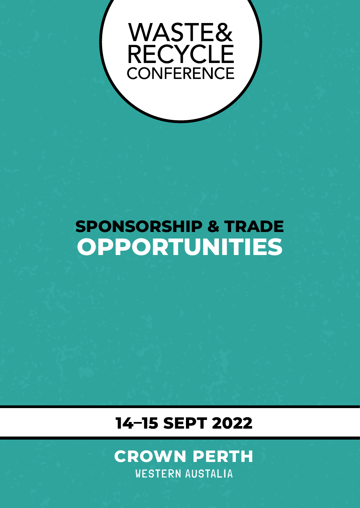# WASTE&<br>RECYCLE<br>CONFERENCE

# **SPONSORSHIP & TRADE OPPORTUNITIES**

**ALLES** 

业田

### 14-15 SEPT 2022



平田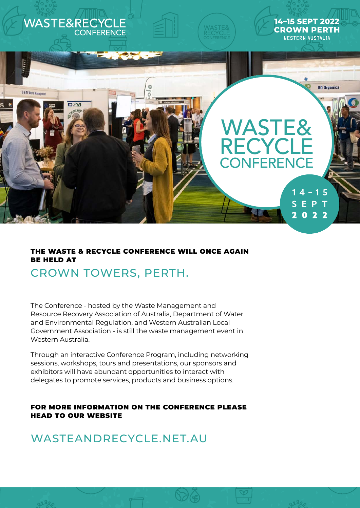

### THE WASTE & RECYCLE CONFERENCE WILL ONCE AGAIN BE HELD AT CROWN TOWERS, PERTH.

The Conference - hosted by the Waste Management and Resource Recovery Association of Australia, Department of Water and Environmental Regulation, and Western Australian Local Government Association - is still the waste management event in Western Australia.

Through an interactive Conference Program, including networking sessions, workshops, tours and presentations, our sponsors and exhibitors will have abundant opportunities to interact with delegates to promote services, products and business options.

#### FOR MORE INFORMATION ON THE CONFERENCE PLEASE HEAD TO OUR WEBSITE

996

WASTEANDRECYCLE.NET.AU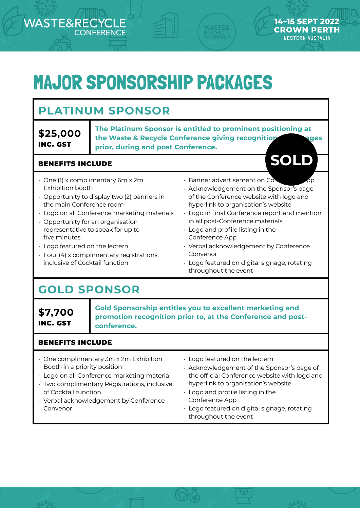# MAJOR SPONSORSHIP PACKAGES

### **PLATINUM SPONSOR**

**\$25,000**  INC. GST

**ASTE&REC** 

**The Platinum Sponsor is entitled to prominent positioning at the Waste & Recycle Conference giving recognition and stages prior, during and post Conference.**

#### BENEFITS INCLUDE

- One (1) x complimentary 6m x 2m Exhibition booth
- Opportunity to display two (2) banners in the main Conference room
- Logo on all Conference marketing materials
- Opportunity for an organisation representative to speak for up to five minutes
- Logo featured on the lectern
- Four (4) x complimentary registrations, inclusive of Cocktail function
- $\cdot$  Banner advertisement on Cor
- Acknowledgement on the Sponsor's page of the Conference website with logo and hyperlink to organisation's website

**SOLD**

14-15 SEPT 202 **CROWN PERTH WESTERN AUSTALIA** 

- Logo in final Conference report and mention in all post-Conference materials
- Logo and profile listing in the Conference App
- Verbal acknowledgement by Conference Convenor
- Logo featured on digital signage, rotating throughout the event

### **GOLD SPONSOR**

**\$7,700** INC. GST

**Gold Sponsorship entitles you to excellent marketing and promotion recognition prior to, at the Conference and postconference.**

#### BENEFITS INCLUDE

- One complimentary 3m x 2m Exhibition Booth in a priority position
- Logo on all Conference marketing material
- Two complimentary Registrations, inclusive of Cocktail function
- Verbal acknowledgement by Conference Convenor
- Logo featured on the lectern
- Acknowledgement of the Sponsor's page of the official Conference website with logo and hyperlink to organisation's website
- Logo and profile listing in the Conference App
- Logo featured on digital signage, rotating throughout the event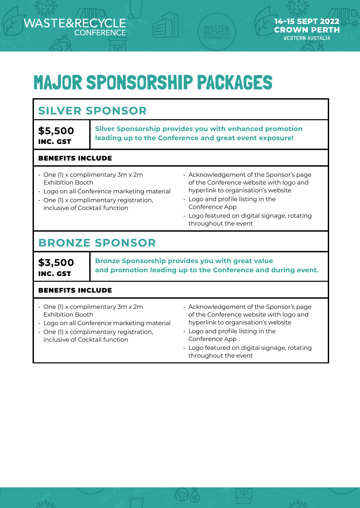## MAJOR SPONSORSHIP PACKAGES

#### **SILVER SPONSOR \$5,500**  INC. GST **Silver Sponsorship provides you with enhanced promotion leading up to the Conference and great event exposure!** BENEFITS INCLUDE • One (1) x complimentary 3m x 2m Exhibition Booth • Logo on all Conference marketing material • One (1) x complimentary registration, inclusive of Cocktail function • Acknowledgement of the Sponsor's page of the Conference website with logo and hyperlink to organisation's website • Logo and profile listing in the Conference App • Logo featured on digital signage, rotating throughout the event **BRONZE SPONSOR \$3,500** INC. GST **Bronze Sponsorship provides you with great value and promotion leading up to the Conference and during event.** BENEFITS INCLUDE • One (1) x complimentary 3m x 2m Exhibition Booth • Acknowledgement of the Sponsor's page of the Conference website with logo and

- Logo on all Conference marketing material
- One (1) x complimentary registration, inclusive of Cocktail function

**ASTERRE** 

hyperlink to organisation's website

14-15 SEPT 202 **CROWN PERTH WESTERN AUSTALIA** 

- Logo and profile listing in the Conference App
- Logo featured on digital signage, rotating throughout the event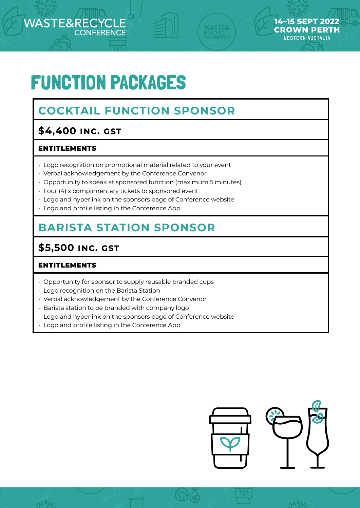# FUNCTION PACKAGES

### **COCKTAIL FUNCTION SPONSOR**

### **\$4,400 inc. gst**

### ENTITLEMENTS

**JASTE&REC** 

- Logo recognition on promotional material related to your event
- Verbal acknowledgement by the Conference Convenor
- Opportunity to speak at sponsored function (maximum 5 minutes)
- Four (4) x complimentary tickets to sponsored event
- Logo and hyperlink on the sponsors page of Conference website
- Logo and profile listing in the Conference App

### **BARISTA STATION SPONSOR**

### **\$5,500 INC. GST**

#### ENTITLEMENTS

- Opportunity for sponsor to supply reusable branded cups
- Logo recognition on the Barista Station
- Verbal acknowledgement by the Conference Convenor
- Barista station to be branded with company logo
- Logo and hyperlink on the sponsors page of Conference website
- Logo and profile listing in the Conference App



14-15 SEPT 202 **CROWN PERTH WESTERN AUSTALIA**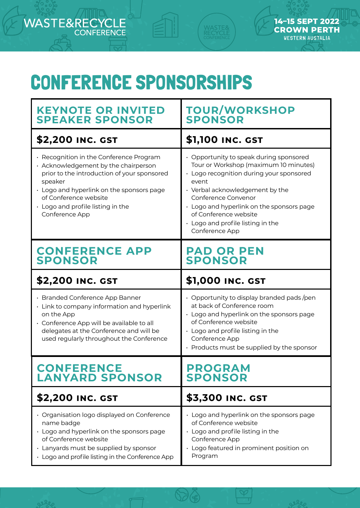# CONFERENCE SPONSORSHIPS

MASTE<mark>&</mark><br>RECYCLE

14-15 SEPT 2022

**CROWN PERTH WESTERN AUSTALIA** 

٦

E&RECYCLE

**NAST** 

F

gerez

| <b>KEYNOTE OR INVITED</b><br><b>SPEAKER SPONSOR</b>                                                                                                                                                                                                                    | <b>TOUR/WORKSHOP</b><br><b>SPONSOR</b>                                                                                                                                                                                                                                                                                             |  |
|------------------------------------------------------------------------------------------------------------------------------------------------------------------------------------------------------------------------------------------------------------------------|------------------------------------------------------------------------------------------------------------------------------------------------------------------------------------------------------------------------------------------------------------------------------------------------------------------------------------|--|
| <b>\$2,200 INC. GST</b>                                                                                                                                                                                                                                                | \$1,100 INC. GST                                                                                                                                                                                                                                                                                                                   |  |
| • Recognition in the Conference Program<br>• Acknowledgement by the chairperson<br>prior to the introduction of your sponsored<br>speaker<br>• Logo and hyperlink on the sponsors page<br>of Conference website<br>• Logo and profile listing in the<br>Conference App | • Opportunity to speak during sponsored<br>Tour or Workshop (maximum 10 minutes)<br>· Logo recognition during your sponsored<br>event<br>• Verbal acknowledgement by the<br>Conference Convenor<br>• Logo and hyperlink on the sponsors page<br>of Conference website<br>$\cdot$ Logo and profile listing in the<br>Conference App |  |
| <b>CONFERENCE APP</b><br><b>SPONSOR</b>                                                                                                                                                                                                                                | <b>PAD OR PEN</b><br><b>SPONSOR</b>                                                                                                                                                                                                                                                                                                |  |
| <b>\$2,200 INC. GST</b>                                                                                                                                                                                                                                                | \$1,000 INC. GST                                                                                                                                                                                                                                                                                                                   |  |
|                                                                                                                                                                                                                                                                        | $\cdot$ Opportunity to display branded pads/pen<br>at back of Conference room<br>· Logo and hyperlink on the sponsors page<br>of Conference website<br>$\cdot$ Logo and profile listing in the<br>Conference App<br>• Products must be supplied by the sponsor                                                                     |  |
| · Branded Conference App Banner<br>• Link to company information and hyperlink<br>on the App<br>· Conference App will be available to all<br>delegates at the Conference and will be<br>used regularly throughout the Conference                                       |                                                                                                                                                                                                                                                                                                                                    |  |
| <b>CONFERENCE</b><br><b>LANYARD SPONSOR</b>                                                                                                                                                                                                                            | <b>PROGRAM</b><br><b>SPONSOR</b>                                                                                                                                                                                                                                                                                                   |  |
| <b>\$2,200 INC. GST</b>                                                                                                                                                                                                                                                | <b>\$3,300 INC. GST</b>                                                                                                                                                                                                                                                                                                            |  |

 $\Im\Theta$ 

 $\infty$ 

**Selen**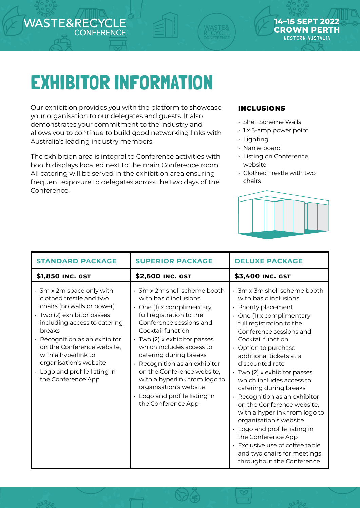# EXHIBITOR INFORMATION

Our exhibition provides you with the platform to showcase your organisation to our delegates and guests. It also demonstrates your commitment to the industry and allows you to continue to build good networking links with Australia's leading industry members.

The exhibition area is integral to Conference activities with booth displays located next to the main Conference room. All catering will be served in the exhibition area ensuring frequent exposure to delegates across the two days of the Conference.

#### INCLUSIONS

- Shell Scheme Walls
- $\cdot$  1 x 5-amp power point

14-15 SEPT

**CROWN PERTH WESTERN AUSTALIA** 

- Lighting
- Name board
- Listing on Conference website
- Clothed Trestle with two chairs



| <b>STANDARD PACKAGE</b>                                                                                                                                                                                                                                                                                                                       | <b>SUPERIOR PACKAGE</b>                                                                                                                                                                                                                                                                                                                                                                                                                                       | <b>DELUXE PACKAGE</b>                                                                                                                                                                                                                                                                                                                                                                                                                                                                                                                                                                                                                                |
|-----------------------------------------------------------------------------------------------------------------------------------------------------------------------------------------------------------------------------------------------------------------------------------------------------------------------------------------------|---------------------------------------------------------------------------------------------------------------------------------------------------------------------------------------------------------------------------------------------------------------------------------------------------------------------------------------------------------------------------------------------------------------------------------------------------------------|------------------------------------------------------------------------------------------------------------------------------------------------------------------------------------------------------------------------------------------------------------------------------------------------------------------------------------------------------------------------------------------------------------------------------------------------------------------------------------------------------------------------------------------------------------------------------------------------------------------------------------------------------|
| \$1,850 INC. GST                                                                                                                                                                                                                                                                                                                              | \$2,600 INC. GST                                                                                                                                                                                                                                                                                                                                                                                                                                              | \$3,400 INC. GST                                                                                                                                                                                                                                                                                                                                                                                                                                                                                                                                                                                                                                     |
| $\cdot$ 3m x 2m space only with<br>clothed trestle and two<br>chairs (no walls or power)<br>· Two (2) exhibitor passes<br>including access to catering<br>breaks<br>$\cdot$ Recognition as an exhibitor<br>on the Conference website,<br>with a hyperlink to<br>organisation's website<br>• Logo and profile listing in<br>the Conference App | $\cdot$ 3m x 2m shell scheme booth<br>with basic inclusions<br>$\cdot$ One (1) x complimentary<br>full registration to the<br>Conference sessions and<br>Cocktail function<br>$\cdot$ Two (2) x exhibitor passes<br>which includes access to<br>catering during breaks<br>$\cdot$ Recognition as an exhibitor<br>on the Conference website,<br>with a hyperlink from logo to<br>organisation's website<br>• Logo and profile listing in<br>the Conference App | $\cdot$ 3m x 3m shell scheme booth<br>with basic inclusions<br>• Priority placement<br>$\cdot$ One (1) x complimentary<br>full registration to the<br>Conference sessions and<br>Cocktail function<br>• Option to purchase<br>additional tickets at a<br>discounted rate<br>· Two (2) x exhibitor passes<br>which includes access to<br>catering during breaks<br>$\cdot$ Recognition as an exhibitor<br>on the Conference website,<br>with a hyperlink from logo to<br>organisation's website<br>• Logo and profile listing in<br>the Conference App<br>· Exclusive use of coffee table<br>and two chairs for meetings<br>throughout the Conference |